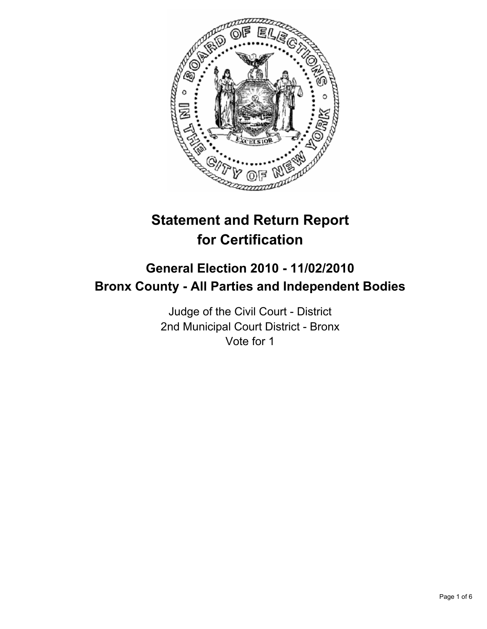

# **Statement and Return Report for Certification**

# **General Election 2010 - 11/02/2010 Bronx County - All Parties and Independent Bodies**

Judge of the Civil Court - District 2nd Municipal Court District - Bronx Vote for 1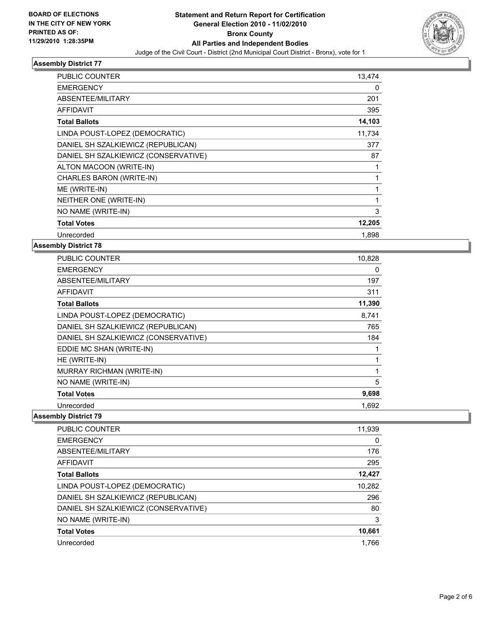

### **Assembly District 77**

| <b>PUBLIC COUNTER</b>                | 13,474 |
|--------------------------------------|--------|
| <b>EMERGENCY</b>                     | 0      |
| ABSENTEE/MILITARY                    | 201    |
| <b>AFFIDAVIT</b>                     | 395    |
| <b>Total Ballots</b>                 | 14,103 |
| LINDA POUST-LOPEZ (DEMOCRATIC)       | 11,734 |
| DANIEL SH SZALKIEWICZ (REPUBLICAN)   | 377    |
| DANIEL SH SZALKIEWICZ (CONSERVATIVE) | 87     |
| ALTON MACOON (WRITE-IN)              | 1      |
| CHARLES BARON (WRITE-IN)             | 1      |
| ME (WRITE-IN)                        | 1      |
| NEITHER ONE (WRITE-IN)               | 1      |
| NO NAME (WRITE-IN)                   | 3      |
| <b>Total Votes</b>                   | 12,205 |
| Unrecorded                           | 1,898  |

# **Assembly District 78**

| <b>PUBLIC COUNTER</b>                | 10,828       |
|--------------------------------------|--------------|
| <b>EMERGENCY</b>                     | 0            |
| ABSENTEE/MILITARY                    | 197          |
| <b>AFFIDAVIT</b>                     | 311          |
| <b>Total Ballots</b>                 | 11,390       |
| LINDA POUST-LOPEZ (DEMOCRATIC)       | 8,741        |
| DANIEL SH SZALKIEWICZ (REPUBLICAN)   | 765          |
| DANIEL SH SZALKIEWICZ (CONSERVATIVE) | 184          |
| EDDIE MC SHAN (WRITE-IN)             | 1            |
| HE (WRITE-IN)                        | $\mathbf{1}$ |
| MURRAY RICHMAN (WRITE-IN)            | 1            |
| NO NAME (WRITE-IN)                   | 5            |
| <b>Total Votes</b>                   | 9,698        |
| Unrecorded                           | 1.692        |

# **Assembly District 79**

| <b>PUBLIC COUNTER</b>                | 11,939 |
|--------------------------------------|--------|
| <b>EMERGENCY</b>                     | 0      |
| ABSENTEE/MILITARY                    | 176    |
| <b>AFFIDAVIT</b>                     | 295    |
| <b>Total Ballots</b>                 | 12,427 |
| LINDA POUST-LOPEZ (DEMOCRATIC)       | 10,282 |
| DANIEL SH SZALKIEWICZ (REPUBLICAN)   | 296    |
| DANIEL SH SZALKIEWICZ (CONSERVATIVE) | 80     |
| NO NAME (WRITE-IN)                   | 3      |
| <b>Total Votes</b>                   | 10,661 |
| Unrecorded                           | 1.766  |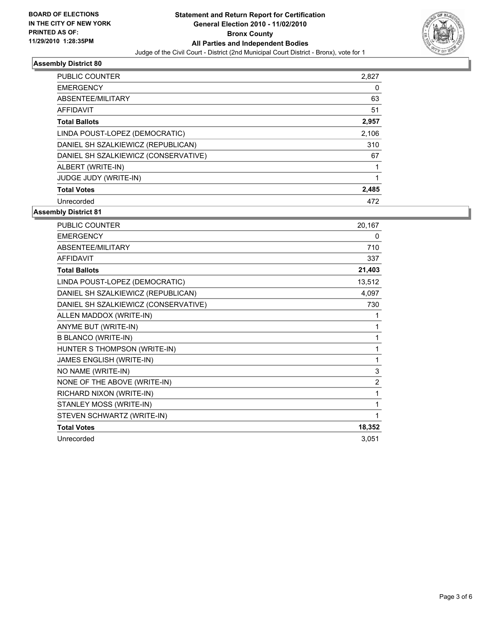

# **Assembly District 80**

| <b>PUBLIC COUNTER</b>                | 2,827 |
|--------------------------------------|-------|
| <b>EMERGENCY</b>                     | 0     |
| ABSENTEE/MILITARY                    | 63    |
| <b>AFFIDAVIT</b>                     | 51    |
| <b>Total Ballots</b>                 | 2,957 |
| LINDA POUST-LOPEZ (DEMOCRATIC)       | 2,106 |
| DANIEL SH SZALKIEWICZ (REPUBLICAN)   | 310   |
| DANIEL SH SZALKIEWICZ (CONSERVATIVE) | 67    |
| ALBERT (WRITE-IN)                    |       |
| <b>JUDGE JUDY (WRITE-IN)</b>         |       |
| <b>Total Votes</b>                   | 2,485 |
| Unrecorded                           | 472   |

#### **Assembly District 81**

| PUBLIC COUNTER                       | 20,167         |
|--------------------------------------|----------------|
| <b>EMERGENCY</b>                     | 0              |
| <b>ABSENTEE/MILITARY</b>             | 710            |
| <b>AFFIDAVIT</b>                     | 337            |
| <b>Total Ballots</b>                 | 21,403         |
| LINDA POUST-LOPEZ (DEMOCRATIC)       | 13,512         |
| DANIEL SH SZALKIEWICZ (REPUBLICAN)   | 4,097          |
| DANIEL SH SZALKIEWICZ (CONSERVATIVE) | 730            |
| ALLEN MADDOX (WRITE-IN)              | 1              |
| ANYME BUT (WRITE-IN)                 | 1              |
| <b>B BLANCO (WRITE-IN)</b>           | 1              |
| HUNTER S THOMPSON (WRITE-IN)         | 1              |
| JAMES ENGLISH (WRITE-IN)             | 1              |
| NO NAME (WRITE-IN)                   | 3              |
| NONE OF THE ABOVE (WRITE-IN)         | $\overline{2}$ |
| RICHARD NIXON (WRITE-IN)             | 1              |
| STANLEY MOSS (WRITE-IN)              | 1              |
| STEVEN SCHWARTZ (WRITE-IN)           | 1              |
| <b>Total Votes</b>                   | 18,352         |
| Unrecorded                           | 3,051          |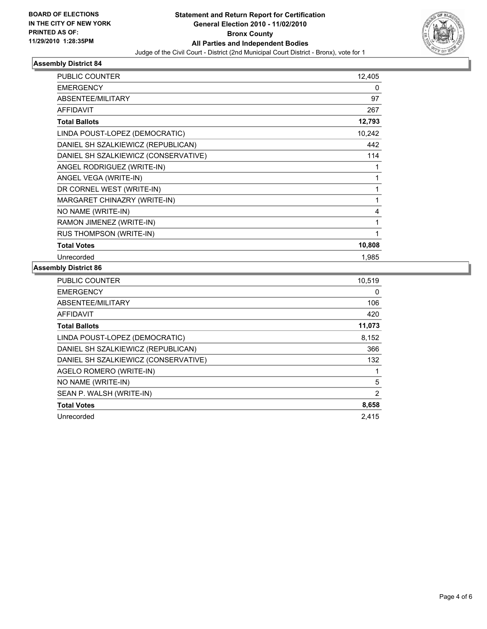

# **Assembly District 84**

| <b>PUBLIC COUNTER</b>                | 12,405 |
|--------------------------------------|--------|
| <b>EMERGENCY</b>                     | 0      |
| ABSENTEE/MILITARY                    | 97     |
| <b>AFFIDAVIT</b>                     | 267    |
| <b>Total Ballots</b>                 | 12,793 |
| LINDA POUST-LOPEZ (DEMOCRATIC)       | 10,242 |
| DANIEL SH SZALKIEWICZ (REPUBLICAN)   | 442    |
| DANIEL SH SZALKIEWICZ (CONSERVATIVE) | 114    |
| ANGEL RODRIGUEZ (WRITE-IN)           | 1      |
| ANGEL VEGA (WRITE-IN)                | 1      |
| DR CORNEL WEST (WRITE-IN)            | 1      |
| MARGARET CHINAZRY (WRITE-IN)         | 1      |
| NO NAME (WRITE-IN)                   | 4      |
| RAMON JIMENEZ (WRITE-IN)             | 1      |
| RUS THOMPSON (WRITE-IN)              | 1      |
| <b>Total Votes</b>                   | 10,808 |
| Unrecorded                           | 1,985  |

# **Assembly District 86**

| <b>PUBLIC COUNTER</b>                | 10,519 |
|--------------------------------------|--------|
| <b>EMERGENCY</b>                     | 0      |
| ABSENTEE/MILITARY                    | 106    |
| <b>AFFIDAVIT</b>                     | 420    |
| <b>Total Ballots</b>                 | 11,073 |
| LINDA POUST-LOPEZ (DEMOCRATIC)       | 8,152  |
| DANIEL SH SZALKIEWICZ (REPUBLICAN)   | 366    |
| DANIEL SH SZALKIEWICZ (CONSERVATIVE) | 132    |
| AGELO ROMERO (WRITE-IN)              |        |
| NO NAME (WRITE-IN)                   | 5      |
| SEAN P. WALSH (WRITE-IN)             | 2      |
| <b>Total Votes</b>                   | 8,658  |
| Unrecorded                           | 2,415  |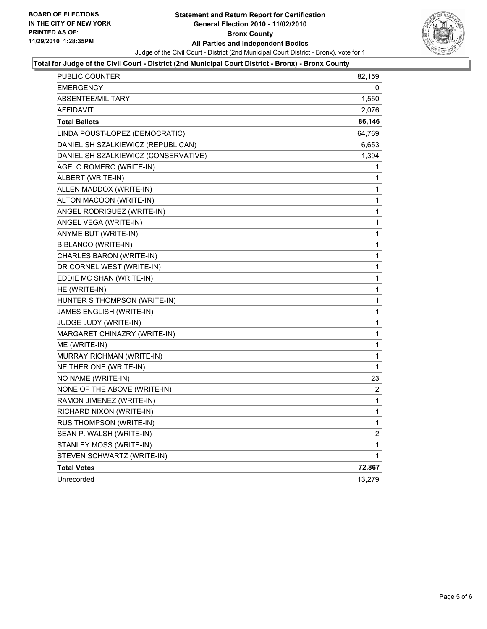

# **Total for Judge of the Civil Court - District (2nd Municipal Court District - Bronx) - Bronx County**

| PUBLIC COUNTER                       | 82,159      |
|--------------------------------------|-------------|
| <b>EMERGENCY</b>                     |             |
| ABSENTEE/MILITARY                    | 1,550       |
| <b>AFFIDAVIT</b>                     | 2,076       |
| <b>Total Ballots</b>                 | 86,146      |
| LINDA POUST-LOPEZ (DEMOCRATIC)       | 64,769      |
| DANIEL SH SZALKIEWICZ (REPUBLICAN)   | 6,653       |
| DANIEL SH SZALKIEWICZ (CONSERVATIVE) | 1,394       |
| AGELO ROMERO (WRITE-IN)              | 1           |
| ALBERT (WRITE-IN)                    | 1           |
| ALLEN MADDOX (WRITE-IN)              | 1           |
| ALTON MACOON (WRITE-IN)              | 1           |
| ANGEL RODRIGUEZ (WRITE-IN)           | 1           |
| ANGEL VEGA (WRITE-IN)                | 1           |
| ANYME BUT (WRITE-IN)                 | 1           |
| <b>B BLANCO (WRITE-IN)</b>           | 1           |
| CHARLES BARON (WRITE-IN)             | 1           |
| DR CORNEL WEST (WRITE-IN)            | 1           |
| EDDIE MC SHAN (WRITE-IN)             | 1           |
| HE (WRITE-IN)                        | 1           |
| HUNTER S THOMPSON (WRITE-IN)         | 1           |
| JAMES ENGLISH (WRITE-IN)             | 1           |
| JUDGE JUDY (WRITE-IN)                | 1           |
| MARGARET CHINAZRY (WRITE-IN)         | 1           |
| ME (WRITE-IN)                        | 1           |
| MURRAY RICHMAN (WRITE-IN)            | 1           |
| NEITHER ONE (WRITE-IN)               | $\mathbf 1$ |
| NO NAME (WRITE-IN)                   | 23          |
| NONE OF THE ABOVE (WRITE-IN)         | 2           |
| RAMON JIMENEZ (WRITE-IN)             | 1           |
| RICHARD NIXON (WRITE-IN)             | 1           |
| RUS THOMPSON (WRITE-IN)              | 1           |
| SEAN P. WALSH (WRITE-IN)             | 2           |
| STANLEY MOSS (WRITE-IN)              | 1           |
| STEVEN SCHWARTZ (WRITE-IN)           | 1           |
| <b>Total Votes</b>                   | 72,867      |
| Unrecorded                           | 13,279      |